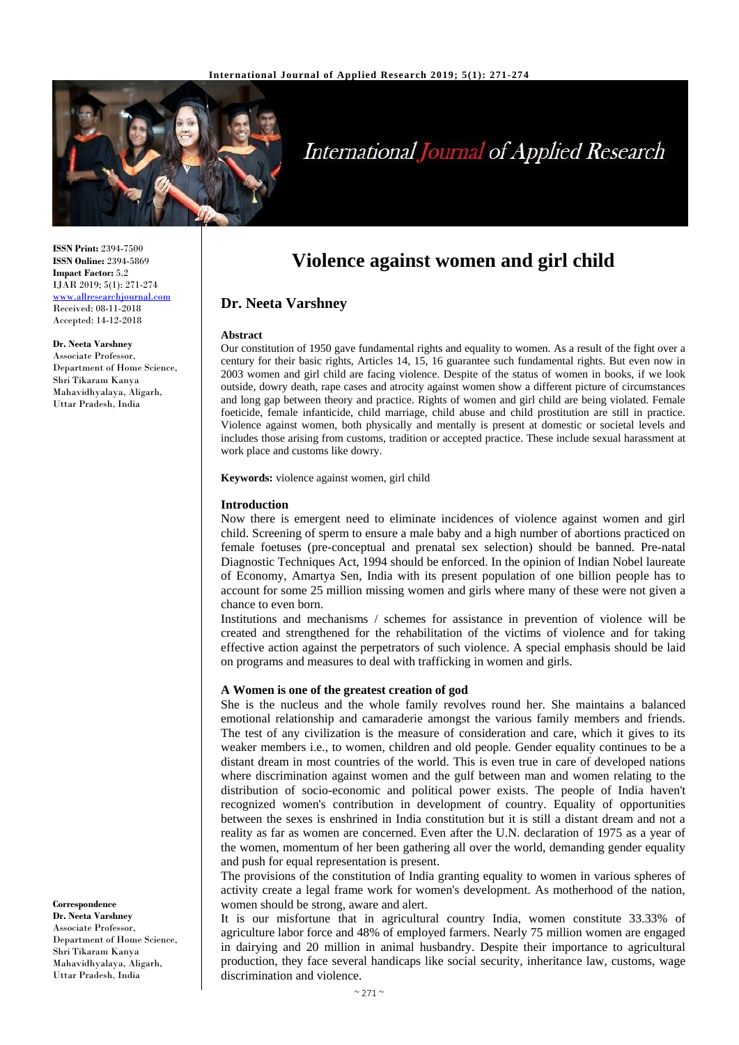

# **International Journal of Applied Research**

**Violence against women and girl child**

Our constitution of 1950 gave fundamental rights and equality to women. As a result of the fight over a century for their basic rights, Articles 14, 15, 16 guarantee such fundamental rights. But even now in 2003 women and girl child are facing violence. Despite of the status of women in books, if we look outside, dowry death, rape cases and atrocity against women show a different picture of circumstances and long gap between theory and practice. Rights of women and girl child are being violated. Female foeticide, female infanticide, child marriage, child abuse and child prostitution are still in practice. Violence against women, both physically and mentally is present at domestic or societal levels and includes those arising from customs, tradition or accepted practice. These include sexual harassment at

**ISSN Print:** 2394-7500 **ISSN Online:** 2394-5869 **Impact Factor:** 5.2 IJAR 2019; 5(1): 271-274 <www.allresearchjournal.com> Received: 08-11-2018 Accepted: 14-12-2018

**Dr. Neeta Varshney**

Associate Professor, Department of Home Science, Shri Tikaram Kanya Mahavidhyalaya, Aligarh, Uttar Pradesh, India

**Keywords:** violence against women, girl child

work place and customs like dowry.

**Dr. Neeta Varshney**

**Abstract**

## **Introduction**

Now there is emergent need to eliminate incidences of violence against women and girl child. Screening of sperm to ensure a male baby and a high number of abortions practiced on female foetuses (pre-conceptual and prenatal sex selection) should be banned. Pre-natal Diagnostic Techniques Act, 1994 should be enforced. In the opinion of Indian Nobel laureate of Economy, Amartya Sen, India with its present population of one billion people has to account for some 25 million missing women and girls where many of these were not given a chance to even born.

Institutions and mechanisms / schemes for assistance in prevention of violence will be created and strengthened for the rehabilitation of the victims of violence and for taking effective action against the perpetrators of such violence. A special emphasis should be laid on programs and measures to deal with trafficking in women and girls.

#### **A Women is one of the greatest creation of god**

She is the nucleus and the whole family revolves round her. She maintains a balanced emotional relationship and camaraderie amongst the various family members and friends. The test of any civilization is the measure of consideration and care, which it gives to its weaker members i.e., to women, children and old people. Gender equality continues to be a distant dream in most countries of the world. This is even true in care of developed nations where discrimination against women and the gulf between man and women relating to the distribution of socio-economic and political power exists. The people of India haven't recognized women's contribution in development of country. Equality of opportunities between the sexes is enshrined in India constitution but it is still a distant dream and not a reality as far as women are concerned. Even after the U.N. declaration of 1975 as a year of the women, momentum of her been gathering all over the world, demanding gender equality and push for equal representation is present.

The provisions of the constitution of India granting equality to women in various spheres of activity create a legal frame work for women's development. As motherhood of the nation, women should be strong, aware and alert.

It is our misfortune that in agricultural country India, women constitute 33.33% of agriculture labor force and 48% of employed farmers. Nearly 75 million women are engaged in dairying and 20 million in animal husbandry. Despite their importance to agricultural production, they face several handicaps like social security, inheritance law, customs, wage discrimination and violence.

**Correspondence Dr. Neeta Varshney** Associate Professor, Department of Home Science, Shri Tikaram Kanya Mahavidhyalaya, Aligarh, Uttar Pradesh, India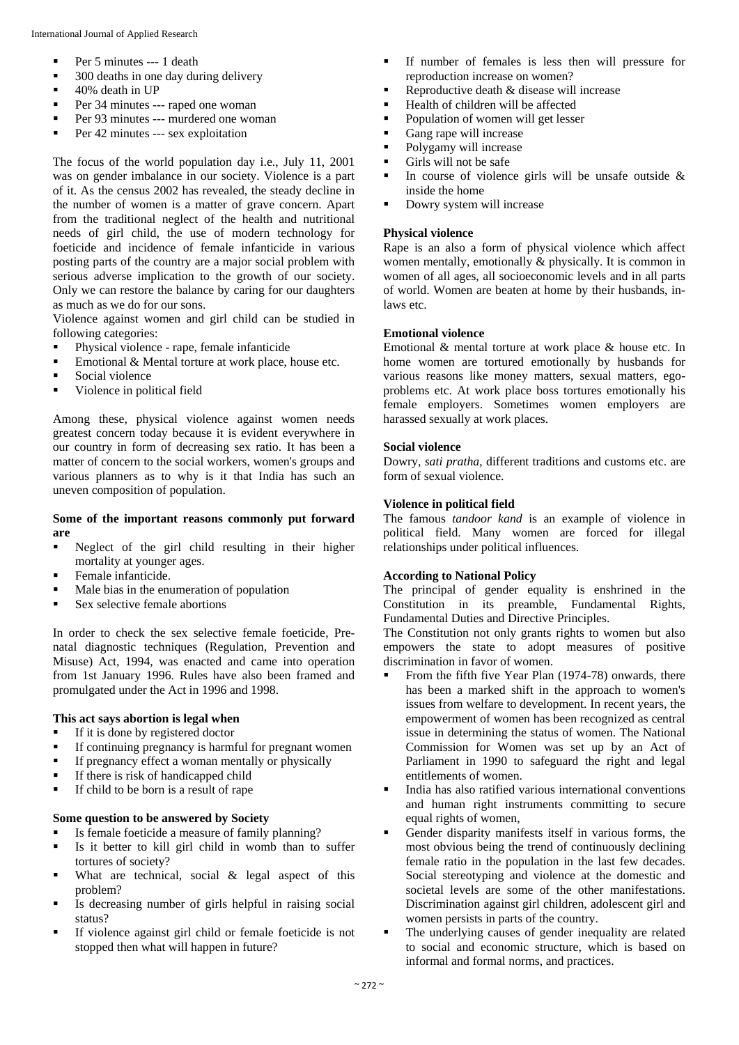- Per 5 minutes --- 1 death
- 300 deaths in one day during delivery
- 40% death in UP
- Per 34 minutes --- raped one woman
- Per 93 minutes --- murdered one woman
- Per 42 minutes --- sex exploitation

The focus of the world population day i.e., July 11, 2001 was on gender imbalance in our society. Violence is a part of it. As the census 2002 has revealed, the steady decline in the number of women is a matter of grave concern. Apart from the traditional neglect of the health and nutritional needs of girl child, the use of modern technology for foeticide and incidence of female infanticide in various posting parts of the country are a major social problem with serious adverse implication to the growth of our society. Only we can restore the balance by caring for our daughters as much as we do for our sons.

Violence against women and girl child can be studied in following categories:

- Physical violence rape, female infanticide
- Emotional & Mental torture at work place, house etc.
- Social violence
- Violence in political field

Among these, physical violence against women needs greatest concern today because it is evident everywhere in our country in form of decreasing sex ratio. It has been a matter of concern to the social workers, women's groups and various planners as to why is it that India has such an uneven composition of population.

#### **Some of the important reasons commonly put forward are**

- Neglect of the girl child resulting in their higher mortality at younger ages.
- Female infanticide.
- Male bias in the enumeration of population
- Sex selective female abortions

In order to check the sex selective female foeticide, Prenatal diagnostic techniques (Regulation, Prevention and Misuse) Act, 1994, was enacted and came into operation from 1st January 1996. Rules have also been framed and promulgated under the Act in 1996 and 1998.

## **This act says abortion is legal when**

- If it is done by registered doctor
- If continuing pregnancy is harmful for pregnant women
- **•** If pregnancy effect a woman mentally or physically
- **•** If there is risk of handicapped child
- If child to be born is a result of rape

#### **Some question to be answered by Society**

- Is female foeticide a measure of family planning?
- Is it better to kill girl child in womb than to suffer tortures of society?
- What are technical, social  $\&$  legal aspect of this problem?
- Is decreasing number of girls helpful in raising social status?
- If violence against girl child or female foeticide is not stopped then what will happen in future?
- If number of females is less then will pressure for reproduction increase on women?
- Reproductive death & disease will increase
- Health of children will be affected
- Population of women will get lesser
- Gang rape will increase
- Polygamy will increase
- Girls will not be safe
- In course of violence girls will be unsafe outside  $\&$ inside the home
- Dowry system will increase

#### **Physical violence**

Rape is an also a form of physical violence which affect women mentally, emotionally & physically. It is common in women of all ages, all socioeconomic levels and in all parts of world. Women are beaten at home by their husbands, inlaws etc.

### **Emotional violence**

Emotional & mental torture at work place & house etc. In home women are tortured emotionally by husbands for various reasons like money matters, sexual matters, egoproblems etc. At work place boss tortures emotionally his female employers. Sometimes women employers are harassed sexually at work places.

#### **Social violence**

Dowry, *sati pratha*, different traditions and customs etc. are form of sexual violence.

#### **Violence in political field**

The famous *tandoor kand* is an example of violence in political field. Many women are forced for illegal relationships under political influences.

## **According to National Policy**

The principal of gender equality is enshrined in the Constitution in its preamble, Fundamental Rights, Fundamental Duties and Directive Principles.

The Constitution not only grants rights to women but also empowers the state to adopt measures of positive discrimination in favor of women.

- From the fifth five Year Plan (1974-78) onwards, there has been a marked shift in the approach to women's issues from welfare to development. In recent years, the empowerment of women has been recognized as central issue in determining the status of women. The National Commission for Women was set up by an Act of Parliament in 1990 to safeguard the right and legal entitlements of women.
- India has also ratified various international conventions and human right instruments committing to secure equal rights of women,
- Gender disparity manifests itself in various forms, the most obvious being the trend of continuously declining female ratio in the population in the last few decades. Social stereotyping and violence at the domestic and societal levels are some of the other manifestations. Discrimination against girl children, adolescent girl and women persists in parts of the country.
- The underlying causes of gender inequality are related to social and economic structure, which is based on informal and formal norms, and practices.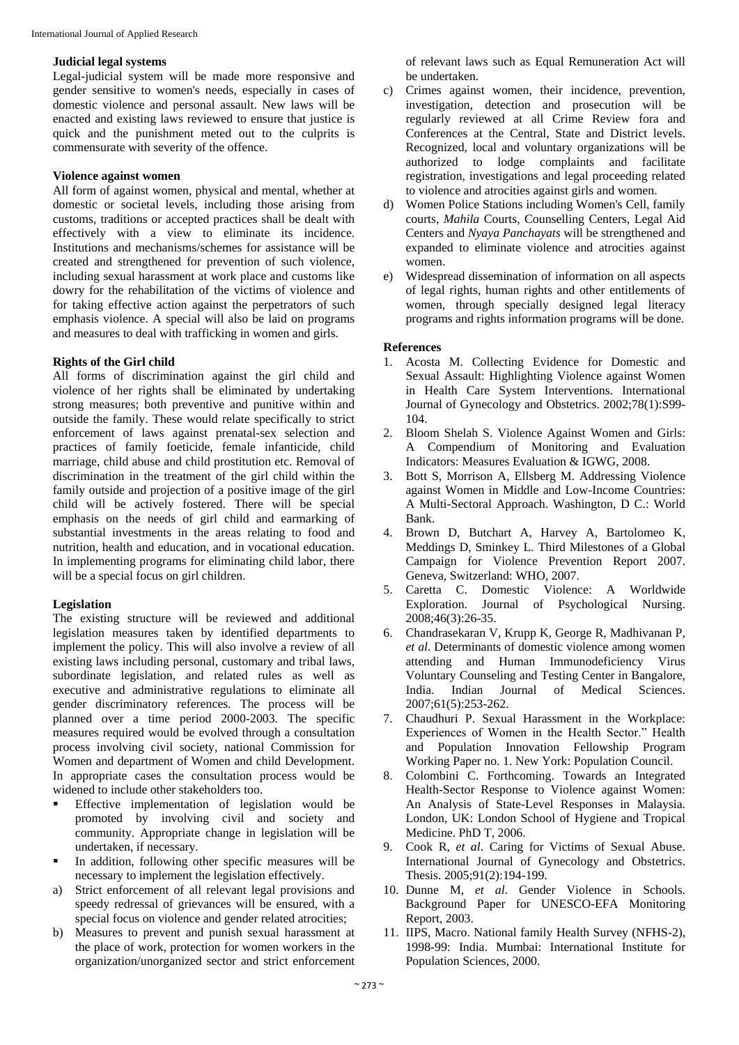#### **Judicial legal systems**

Legal-judicial system will be made more responsive and gender sensitive to women's needs, especially in cases of domestic violence and personal assault. New laws will be enacted and existing laws reviewed to ensure that justice is quick and the punishment meted out to the culprits is commensurate with severity of the offence.

#### **Violence against women**

All form of against women, physical and mental, whether at domestic or societal levels, including those arising from customs, traditions or accepted practices shall be dealt with effectively with a view to eliminate its incidence. Institutions and mechanisms/schemes for assistance will be created and strengthened for prevention of such violence, including sexual harassment at work place and customs like dowry for the rehabilitation of the victims of violence and for taking effective action against the perpetrators of such emphasis violence. A special will also be laid on programs and measures to deal with trafficking in women and girls.

### **Rights of the Girl child**

All forms of discrimination against the girl child and violence of her rights shall be eliminated by undertaking strong measures; both preventive and punitive within and outside the family. These would relate specifically to strict enforcement of laws against prenatal-sex selection and practices of family foeticide, female infanticide, child marriage, child abuse and child prostitution etc. Removal of discrimination in the treatment of the girl child within the family outside and projection of a positive image of the girl child will be actively fostered. There will be special emphasis on the needs of girl child and earmarking of substantial investments in the areas relating to food and nutrition, health and education, and in vocational education. In implementing programs for eliminating child labor, there will be a special focus on girl children.

## **Legislation**

The existing structure will be reviewed and additional legislation measures taken by identified departments to implement the policy. This will also involve a review of all existing laws including personal, customary and tribal laws, subordinate legislation, and related rules as well as executive and administrative regulations to eliminate all gender discriminatory references. The process will be planned over a time period 2000-2003. The specific measures required would be evolved through a consultation process involving civil society, national Commission for Women and department of Women and child Development. In appropriate cases the consultation process would be widened to include other stakeholders too.

- Effective implementation of legislation would be promoted by involving civil and society and community. Appropriate change in legislation will be undertaken, if necessary.
- In addition, following other specific measures will be necessary to implement the legislation effectively.
- a) Strict enforcement of all relevant legal provisions and speedy redressal of grievances will be ensured, with a special focus on violence and gender related atrocities;
- b) Measures to prevent and punish sexual harassment at the place of work, protection for women workers in the organization/unorganized sector and strict enforcement

of relevant laws such as Equal Remuneration Act will be undertaken.

- c) Crimes against women, their incidence, prevention, investigation, detection and prosecution will be regularly reviewed at all Crime Review fora and Conferences at the Central, State and District levels. Recognized, local and voluntary organizations will be authorized to lodge complaints and facilitate registration, investigations and legal proceeding related to violence and atrocities against girls and women.
- d) Women Police Stations including Women's Cell, family courts, *Mahila* Courts, Counselling Centers, Legal Aid Centers and *Nyaya Panchayats* will be strengthened and expanded to eliminate violence and atrocities against women.
- e) Widespread dissemination of information on all aspects of legal rights, human rights and other entitlements of women, through specially designed legal literacy programs and rights information programs will be done.

#### **References**

- 1. Acosta M. Collecting Evidence for Domestic and Sexual Assault: Highlighting Violence against Women in Health Care System Interventions. International Journal of Gynecology and Obstetrics. 2002;78(1):S99- 104.
- 2. Bloom Shelah S. Violence Against Women and Girls: A Compendium of Monitoring and Evaluation Indicators: Measures Evaluation & IGWG, 2008.
- 3. Bott S, Morrison A, Ellsberg M. Addressing Violence against Women in Middle and Low-Income Countries: A Multi-Sectoral Approach. Washington, D C.: World Bank.
- 4. Brown D, Butchart A, Harvey A, Bartolomeo K, Meddings D, Sminkey L. Third Milestones of a Global Campaign for Violence Prevention Report 2007. Geneva, Switzerland: WHO, 2007.
- 5. Caretta C. Domestic Violence: A Worldwide Exploration. Journal of Psychological Nursing. 2008;46(3):26-35.
- 6. Chandrasekaran V, Krupp K, George R, Madhivanan P, *et al*. Determinants of domestic violence among women attending and Human Immunodeficiency Virus Voluntary Counseling and Testing Center in Bangalore, India. Indian Journal of Medical Sciences. 2007;61(5):253-262.
- 7. Chaudhuri P. Sexual Harassment in the Workplace: Experiences of Women in the Health Sector." Health and Population Innovation Fellowship Program Working Paper no. 1. New York: Population Council.
- 8. Colombini C. Forthcoming. Towards an Integrated Health-Sector Response to Violence against Women: An Analysis of State-Level Responses in Malaysia. London, UK: London School of Hygiene and Tropical Medicine. PhD T, 2006.
- 9. Cook R, *et al*. Caring for Victims of Sexual Abuse. International Journal of Gynecology and Obstetrics. Thesis. 2005;91(2):194-199.
- 10. Dunne M, *et al*. Gender Violence in Schools. Background Paper for UNESCO-EFA Monitoring Report, 2003.
- 11. IIPS, Macro. National family Health Survey (NFHS-2), 1998-99: India. Mumbai: International Institute for Population Sciences, 2000.